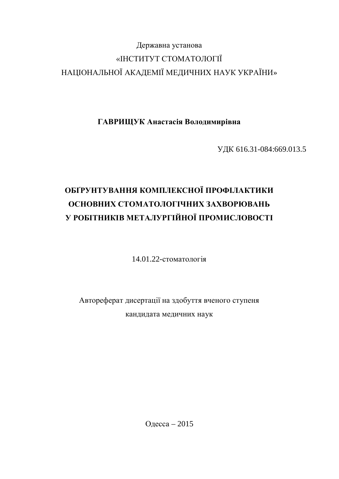## Державна установа «ІНСТИТУТ СТОМАТОЛОГІЇ НАЦІОНАЛЬНОЇ АКАДЕМІЇ МЕДИЧНИХ НАУК УКРАЇНИ»

ГАВРИЩУК Анастасія Володимирівна

УДК 616.31-084:669.013.5

# **ɈȻʈɊɍɇɌɍȼȺɇɇəɄɈɆɉɅȿɄɋɇɈȲɉɊɈɎȱɅȺɄɌɂɄɂ ОСНОВНИХ СТОМАТОЛОГІЧНИХ ЗАХВОРЮВАНЬ У РОБІТНИКІВ МЕТАЛУРГІЙНОЇ ПРОМИСЛОВОСТІ**

 $14.01.22$ -стоматопогія

Автореферат дисертації на здобуття вченого ступеня кандидата медичних наук

Одесса – 2015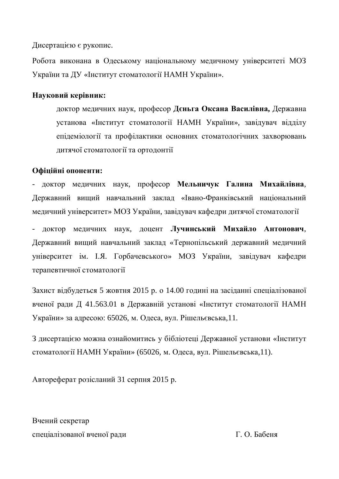Дисертацією є рукопис.

Робота виконана в Одеському національному медичному університеті МОЗ України та ДУ «Інститут стоматології НАМН України».

### Науковий керівник:

доктор медичних наук, професор Дєньга Оксана Василівна, Державна установа «Інститут стоматології НАМН України», завідувач відділу епідеміології та профілактики основних стоматологічних захворювань дитячої стоматології та ортолонтії

## Офіційні опоненти:

- доктор медичних наук, професор Мельничук Галина Михайлівна, Державний вищий навчальний заклад «Івано-Франківський національний медичний університет» МОЗ України, завідувач кафедри дитячої стоматології

- доктор медичних наук, доцент Лучинський Михайло Антонович, Державний вищий навчальний заклад «Тернопільський державний медичний університет ім. І.Я. Горбачевського» МОЗ України, завідувач кафедри терапевтичної стоматології

Захист відбудеться 5 жовтня 2015 р. о 14.00 годині на засіданні спеціалізованої вченої ради Д 41.563.01 в Державній установі «Інститут стоматології НАМН України» за адресою: 65026, м. Одеса, вул. Рішельєвська,11.

З дисертацією можна ознайомитись у бібліотеці Державної установи «Інститут стоматології НАМН України» (65026, м. Одеса, вул. Рішельєвська,11).

Автореферат розісланий 31 серпня 2015 р.

Вчений секретар спеціалізованої вченої ради П. О. Бабеня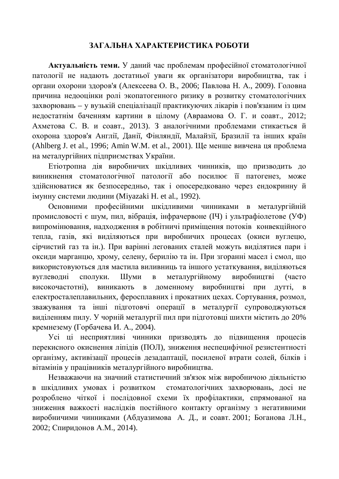## ЗАГАЛЬНА ХАРАКТЕРИСТИКА РОБОТИ

Актуальність теми. У даний час проблемам професійної стоматологічної патології не надають достатньої уваги як організатори виробництва, так і органи охорони здоров'я (Алексеева О. В., 2006; Павлова Н. А., 2009). Головна причина недооцінки ролі экопатогенного ризику в розвитку стоматологічних захворювань – у вузькій спеціалізації практикуючих лікарів і пов'язаним із цим нелостатнім баченням картини в цілому (Авраамова О. Г. и соавт., 2012; Ахметова С. В. и соавт., 2013). З аналогічними проблемами стикається й охорона здоров'я Англії, Данії, Фінляндії, Малайзії, Бразилії та інших країн (Ahlberg J. et al., 1996; Amin W.M. et al., 2001). Ще менше вивчена ця проблема на металургійних підприємствах України.

Етіотропна дія виробничих шкідливих чинників, що призводить до виникнення стоматологічної патології або посилює її патогенез, може здійснюватися як безпосередньо, так і опосередковано через ендокринну й iмунну системи людини (Miyazaki H. et al., 1992).

Основними професійними шкідливими чинниками в металургійній промисловості є шум, пил, вібрація, інфрачервоне ( $\Psi$ ) і ультрафіолетове (УФ) випромінювання, надходження в робітничі приміщення потоків конвекційного тепла, газів, які виділяються при виробничих процесах (окиси вуглецю, сірчистий газ та ін.). При варінні легованих сталей можуть виділятися пари і оксиди марганцю, хрому, селену, берилію та ін. При згоранні масел і смол, що використовуються для мастила виливниць та іншого устаткування, виділяються вуглеводні сполуки. Шуми в металургійному виробництві (часто високочастотні), виникають в доменному виробництві при дутті, в електросталеплавильних, феросплавних і прокатних цехах. Сортування, розмол, зважування та інші підготовчі операції в металургії супроводжуються виділенням пилу. У чорній металургії пил при підготовці шихти містить до 20% кремнезему (Горбачева И. А., 2004).

Усі ці несприятливі чинники призводять до підвищення процесів перекисного окиснення ліпідів (ПОЛ), зниження неспецифічної резистентності організму, активізації процесів дезадаптації, посиленої втрати солей, білків і вітамінів у працівників металургійного виробництва.

Незважаючи на значний статистичний зв'язок між виробничою діяльністю в шкідливих умовах і розвитком стоматологічних захворювань, досі не розроблено чіткої і послідовної схеми їх профілактики, спрямованої на зниження важкості наслідків постійного контакту організму з негативними виробничими чинниками (Абдуазимова А. Д., и соавт. 2001; Боганова Л.Н., 2002; Спиридонов А.М., 2014).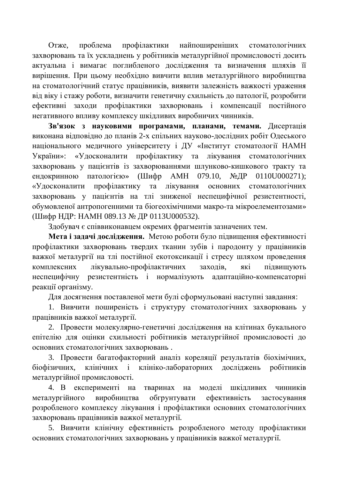Отже, проблема профілактики найпоширеніших стоматологічних захворювань та їх ускладнень у робітників металургійної промисловості досить актуальна і вимагає поглибленого дослідження та визначення шляхів її вирішення. При цьому необхідно вивчити вплив металургійного виробництва на стоматологічний статус працівників, виявити залежність важкості ураження від віку і стажу роботи, визначити генетичну схильність до патології, розробити ефективні заходи профілактики захворювань і компенсації постійного негативного впливу комплексу шкілливих виробничих чинників.

Зв'язок з науковими програмами, планами, темами. Дисертація виконана відповідно до планів 2-х спільних науково-дослідних робіт Одеського національного медичного університету і ДУ «Інститут стоматології НАМН України»: «Удосконалити профілактику та лікування стоматологічних захворювань у пацієнтів із захворюваннями шлунково-кишкового тракту та ендокринною патологією» (Шифр АМН 079.10, №ДР 0110U000271); «Улосконалити профілактику та лікування основних стоматологічних захворювань у пацієнтів на тлі зниженої неспецифічної резистентності, обумовленої антропогенними та біогеохімічними макро-та мікроелементозами» (Шифр НДР: НАМН 089.13 № ДР 0113U000532).

Здобувач є співвиконавцем окремих фрагментів зазначених тем.

Мета і задачі дослідження. Метою роботи було підвищення ефективності профілактики захворювань твердих тканин зубів і пародонту у працівників важкої металургії на тлі постійної екотоксикації і стресу шляхом проведення комплексних лікувально-профілактичних заходів, які підвищують неспецифічну резистентність і нормалізують адаптаційно-компенсаторні реакції організму.

Для досягнення поставленої мети булі сформульовані наступні завдання:

1. Вивчити поширеність і структуру стоматологічних захворювань у працівників важкої металургії.

2. Провести молекулярно-генетичні дослідження на клітинах букального епітелію для оцінки схильності робітників металургійної промисловості до основних стоматологічних захворювань.

3. Провести багатофакторний аналіз кореляції результатів біохімічних, біофізичних, клінічних і клініко-лабораторних досліджень робітників металургійної промисловості.

4. В експерименті на тваринах на моделі шкідливих чинників металургійного виробництва обгрунтувати ефективність застосування розробленого комплексу лікування і профілактики основних стоматологічних захворювань працівників важкої металургії.

5. Вивчити клінічну ефективність розробленого методу профілактики основних стоматологічних захворювань у працівників важкої металургії.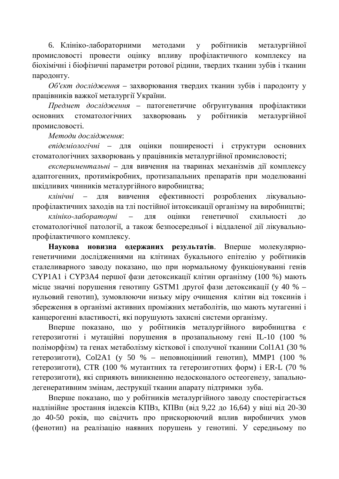6. Клініко-лабораторними методами у робітників металургійної промисловості провести оцінку впливу профілактичного комплексу на біохімічні і біофізичні параметри ротової рідини, твердих тканин зубів і тканин пародонту.

Об'єкт дослідження – захворювання твердих тканин зубів і пародонту у працівників важкої металургії України.

*Предмет дослідження* – патогенетичне обгрунтування профілактики основних стоматологічних захворювань у робітників металургійної промисловості.

Методи дослідження:

*епідеміологічні* – для оцінки поширеності і структури основних стоматологічних захворювань у працівників металургійної промисловості;

експериментальні – для вивчення на тваринах механізмів дії комплексу адаптогенних, протимікробних, протизапальних препаратів при моделюванні шкідливих чинників металургійного виробництва;

клінічні – для вивчення ефективності розроблених лікувальнопрофілактичних заходів на тлі постійної інтоксикації організму на виробництві;

*клініко-лабораторні* – лля ошінки генетичної схильності до стоматологічної патології, а також безпосередньої і віддаленої дії лікувальнопрофілактичного комплексу.

Наукова новизна одержаних результатів. Вперше молекулярногенетичними дослідженнями на клітинах букального епітелію у робітників сталеливарного заводу показано, що при нормальному функціонуванні генів CYP1A1 і CYP3A4 першої фази детоксикації клітин організму (100 %) мають місце значні порушення генотипу GSTM1 другої фази детоксикації (у 40 % – нульовий генотип), зумовлюючи низьку міру очищення клітин від токсинів і збереження в організмі активних проміжних метаболітів, що мають мутагенні і канцерогенні властивості, які порушують захисні системи організму.

Вперше показано, що у робітників металургійного виробництва є гетерозиготні і мутаційні порушення в прозапальному гені IL-10 (100 % поліморфізм) та генах метаболізму кісткової і сполучної тканини Col1A1 (30 % гетерозиготи), Col2A1 (у 50 % – неповноцінний генотип), MMP1 (100 % гетерозиготи), CTR (100 % мутантних та гетерозиготних форм) і ER-L (70 % гетерозиготи), які сприяють виникненню недосконалого остеогенезу, запальнодегенеративним змінам, деструкції тканин апарату підтримки зуба.

Вперше показано, що у робітників металургійного заводу спостерігається надлінійне зростання індексів КПВз, КПВп (від 9,22 до 16,64) у віці від 20-30 до 40-50 років, що свідчить про прискорюючий вплив виробничих умов (фенотип) на реалізацію наявних порушень у генотипі. У середньому по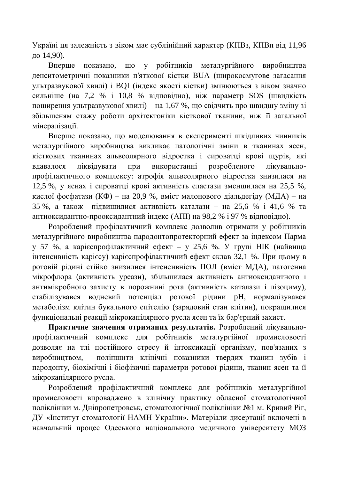Україні ця залежність з віком має сублінійний характер (КПВз, КПВп від 11,96 до 14,90).

Вперше показано, що у робітників металургійного виробництва денситометричні показники п'яткової кістки BUA (широкосмугове загасання ультразвукової хвилі) і ВОІ (індекс якості кістки) змінюються з віком значно сильніше (на 7,2 % і 10,8 % відповідно), ніж параметр SOS (швидкість поширення ультразвукової хвилі) – на 1,67 %, що свідчить про швидшу зміну зі збільшеням стажу роботи архітектоніки кісткової тканини, ніж її загальної мінералізації.

Вперше показано, що моделювання в експерименті шкідливих чинників металургійного виробництва викликає патологічні зміни в тканинах ясен, кісткових тканинах альвеолярного відростка і сироватці крові щурів, які влавалося ліквілувати при використанні розробленого лікувальнопрофілактичного комплексу: атрофія альвеолярного відростка знизилася на 12,5 %, у яснах і сироватці крові активність еластази зменшилася на 25,5 %, кислої фосфатази (КФ) – на 20,9 %, вміст малонового діальдегіду (МДА) – на 35 %, а також підвищилися активність каталази – на 25,6 % і 41,6 % та антиоксилантно-прооксилантний індекс (АПІ) на 98,2 % і 97 % вілповілно).

Розроблений профілактичний комплекс дозволив отримати у робітників металургійного виробництва пародонтопротекторний ефект за індексом Парма у 57 %, а карієспрофілактичний ефект – у 25,6 %. У групі НІК (найвища інтенсивність карієсу) карієспрофілактичний ефект склав 32,1 %. При цьому в ротовій рідині стійко знизилися інтенсивність ПОЛ (вміст МДА), патогенна мікрофлора (активність уреази), збільшилася активність антиоксидантного і антимікробного захисту в порожнині рота (активність каталази і лізоциму), стабілізувався водневий потенціал ротової рідини рН, нормалізувався метаболізм клітин букального епітелію (зарядовий стан клітин), покращилися функціональні реакції мікрокапілярного русла ясен та їх бар'єрний захист.

Практичне значення отриманих результатів. Розроблений лікувальнопрофілактичний комплекс для робітників металургійної промисловості дозволяє на тлі постійного стресу й інтоксикації організму, пов'язаних з виробництвом, поліпшити клінічні показники твердих тканин зубів і пародонту, біохімічні і біофізичні параметри ротової рідини, тканин ясен та її мікрокапілярного русла.

Розроблений профілактичний комплекс для робітників металургійної промисловості впроваджено в клінічну практику обласної стоматологічної поліклініки м. Дніпропетровськ, стоматологічної поліклініки №1 м. Кривий Ріг, ДУ «Інститут стоматології НАМН України». Матеріали дисертації включені в навчальний процес Одеського національного медичного університету МОЗ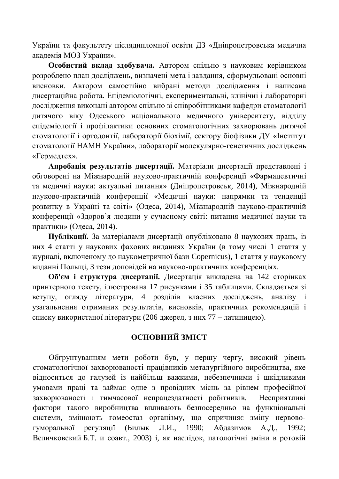України та факультету післядипломної освіти ДЗ «Дніпропетровська медична академія МОЗ України».

Особистий вклад здобувача. Автором спільно з науковим керівником розроблено план досліджень, визначені мета і завдання, сформульовані основні висновки. Автором самостійно вибрані методи дослідження і написана дисертаційна робота. Епідеміологічні, експериментальні, клінічні і лабораторні дослідження виконані автором спільно зі співробітниками кафедри стоматології дитячого віку Олеського національного меличного університету, відділу епідеміології і профілактики основних стоматологічних захворювань дитячої стоматології і ортодонтії, лабораторії біохімії, сектору біофізики ДУ «Інститут стоматології НАМН України», лабораторії молекулярно-генетичних досліджень «Гермедтех».

Апробація результатів дисертації. Матеріали дисертації представлені і обговорені на Міжнародній науково-практичній конференції «Фармацевтичні та медичні науки: актуальні питання» (Дніпропетровськ, 2014), Міжнародній науково-практичній конференції «Медичні науки: напрямки та тенденції розвитку в Україні та світі» (Одеса, 2014), Міжнародній науково-практичній конференції «Здоров'я людини у сучасному світі: питання медичної науки та практики» (Одеса, 2014).

Публікації. За матеріалами дисертації опубліковано 8 наукових праць, із них 4 статті у наукових фахових виданнях України (в тому числі 1 стаття у журналі, включеному до наукометричної бази Copernicus), 1 стаття у науковому виданні Польщі, 3 тези доповідей на науково-практичних конференціях.

Об'єм і структура дисертації. Дисертація викладена на 142 сторінках принтерного тексту, ілюстрована 17 рисунками і 35 таблицями. Складається зі вступу, огляду літератури, 4 розділів власних досліджень, аналізу і узагальнення отриманих результатів, висновків, практичних рекомендацій і списку використаної літератури (206 джерел, з них 77 – латиницею).

## **ОСНОВНИЙ ЗМІСТ**

Обгрунтуванням мети роботи був, у першу чергу, високий рівень стоматологічної захворюваності працівників металургійного виробництва, яке відноситься до галузей із найбільш важкими, небезпечними і шкідливими умовами праці та займає одне з провідних місць за рівнем професійної захворюваності і тимчасової непрацездатності робітників. Несприятливі фактори такого виробництва впливають безпосередньо на функціональні системи, змінюють гомеостаз організму, що спричиняє зміну нервовогуморальної регуляції (Билык Л.И., 1990; Абдазимов А.Д., 1992; Величковский Б.Т. и соавт., 2003) і, як наслідок, патологічні зміни в ротовій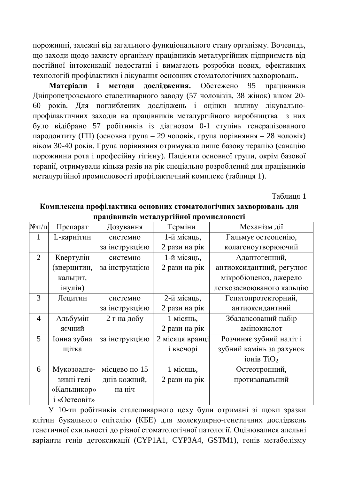порожнині, залежні від загального функціонального стану організму. Вочевидь, що заходи щодо захисту організму працівників металургійних підприємств від постійної інтоксикації недостатні і вимагають розробки нових, ефективних технологій профілактики і лікування основних стоматологічних захворювань.

**Матеріали і метоли лослілження.** Обстежено 95 працівників Дніпропетровського сталеливарного заводу (57 чоловіків, 38 жінок) віком 20-60 років. Для поглиблених досліджень і оцінки впливу лікувальнопрофілактичних заходів на працівників металургійного виробництва з них було відібрано 57 робітників із діагнозом 0-1 ступінь генералізованого пародонтиту (ГП) (основна група – 29 чоловік, група порівняння – 28 чоловік) віком 30-40 років. Група порівняння отримувала лише базову терапію (санацію порожнини рота і професійну гігієну). Пацієнти основної групи, окрім базової терапії, отримували кілька разів на рік спеціально розроблений для працівників металургійної промисловості профілактичний комплекс (таблиця 1).

Таблиня 1

| працівників металургійної промисловості |              |                |                 |                           |
|-----------------------------------------|--------------|----------------|-----------------|---------------------------|
| $N$ <sup>o</sup> $\Pi$ / $\Pi$          | Препарат     | Дозування      | Терміни         | Механізм дії              |
| $\mathbf{1}$                            | L-карнітин   | системно       | 1-й місяць,     | Гальмує остеопенію,       |
|                                         |              | за інструкцією | 2 рази на рік   | колагеноутворюючий        |
| $\overline{2}$                          | Квертулін    | системно       | 1-й місяць,     | Адаптогенний,             |
|                                         | (кверцитин,  | за інструкцією | 2 рази на рік   | антиоксидантний, регулює  |
|                                         | кальцит,     |                |                 | мікробіоценоз, джерело    |
|                                         | інулін)      |                |                 | легкозасвоюваного кальцію |
| 3                                       | Лецитин      | системно       | 2-й місяць,     | Гепатопротекторний,       |
|                                         |              | за інструкцією | 2 рази на рік   | антиоксидантний           |
| $\overline{4}$                          | Альбумін     | 2 г на добу    | 1 місяць,       | Збалансований набір       |
|                                         | яєчний       |                | 2 рази на рік   | амінокислот               |
| 5                                       | Іонна зубна  | за інструкцією | 2 місяця вранці | Розчиняє зубний наліт і   |
|                                         | щітка        |                | і ввечорі       | зубний камінь за рахунок  |
|                                         |              |                |                 | іонів Ті $O_2$            |
| 6                                       | Мукозоадге-  | місцево по 15  | 1 місяць,       | Остеотропний,             |
|                                         | зивні гелі   | днів кожний,   | 2 рази на рік   | протизапальний            |
|                                         | «Кальцикор»  | на ніч         |                 |                           |
|                                         | і «Остеовіт» |                |                 |                           |

## Комплексна профілактика основних стоматологічних захворювань для **ɩɪɚɰɿɜɧɢɤɿɜɦɟɬɚɥɭɪɝɿɣɧɨʀɩɪɨɦɢɫɥɨɜɨɫɬɿ**

У 10-ти робітників сталеливарного цеху були отримані зі щоки зразки клітин букального епітелію (КБЕ) для молекулярно-генетичних досліджень генетичної схильності до різної стоматологічної патології. Оцінювалися алельні варіанти генів детоксикації (CYP1A1, CYP3A4, GSTM1), генів метаболізму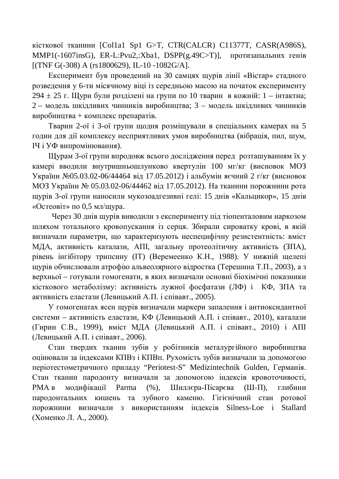кісткової тканини [Col1a1 Sp1 G>T, CTR(CALCR) C11377T, CASR(A986S), MMP1(-1607insG), ER-L:Pvu2,:Xba1, DSPP(g.49C>T)], протизапальних генів [(TNF G(-308) A (rs1800629), IL-10 -1082G/A].

Експеримент був проведений на 30 самцях щурів лінії «Вістар» стадного розведення у 6-ти місячному віці із середньою масою на початок експерименту  $294 \pm 25$  г. Щури були розділені на групи по 10 тварин в кожній: 1 – інтактна; 2 – модель шкідливих чинників виробництва; 3 – модель шкідливих чинників виробництва + комплекс препаратів.

Тварин 2-ої і 3-ої групи щодня розміщували в спеціальних камерах на 5 годин для дії комплексу несприятливих умов виробництва (вібрація, пил, шум, IЧ і УФ випромінювання).

Щурам 3-ої групи впродовж всього дослідження перед розташуванням їх у камері вводили внутришньошлунково квертулін 100 мг/кг (висновок МОЗ України №05.03.02-06/44464 від 17.05.2012) і альбумін яєчний 2 г/кг (висновок МОЗ України № 05.03.02-06/44462 від 17.05.2012). На тканини порожнини рота щурів 3-ої групи наносили мукозоадгезивні гелі: 15 днів «Кальцикор», 15 днів «Остеовіт» по 0,5 мл/щура.

Через 30 днів щурів виводили з експерименту під тіопенталовим наркозом шляхом тотального кровопускання із серця. Збирали сироватку крові, в якій визначали параметри, що характеризують неспецифічну резистентність: вміст МДА, активність каталази, АПІ, загальну протеолітичну активність (ЗПА), рівень інгібітору трипсину (ІТ) (Веремеенко К.Н., 1988). У нижній щелепі щурів обчислювали атрофію альвеолярного відростка (Терешина Т.П., 2003), а з верхньої – готували гомогенати, в яких визначали основні біохімічні показники кісткового метаболізму: активність лужної фосфатази (ЛФ) і КФ, ЗПА та активність еластази (Левицький А.П. і співавт., 2005).

У гомогенатах ясен щурів визначали маркери запалення і антиоксидантної системи – активність еластази, КФ (Левицький А.П. і співавт., 2010), каталази (Гирин С.В., 1999), вміст МДА (Левицький А.П. і співавт., 2010) і АПІ (Левицький А.П. і співавт., 2006).

Стан твердих тканин зубів у робітників металургійного виробництва оцінювали за індексами КПВз і КПВп. Рухомість зубів визначали за допомогою періотестометричного приладу "Periotest-S" Medizintechnik Gulden, Германія. Стан тканин пародонту визначали за допомогою індексів кровоточивості, РМА в модифікації Рагта (%), Шиллєра-Пісарєва (Ш-П), глибини пародонтальних кишень та зубного каменю. Гігієнічний стан ротової порожнини визначали з використанням індексів Silness-Loe і Stallard (Хоменко Л. А., 2000).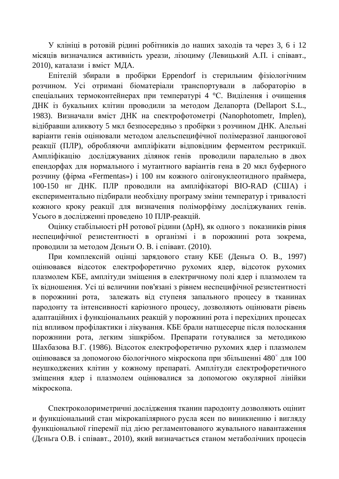У клініці в ротовій рідині робітників до наших заходів та через 3, 6 і 12 місяців визначалися активність уреази, лізоциму (Левицький А.П. і співавт., 2010), каталази і вміст МЛА.

Епітелій збирали в пробірки Eppendorf із стерильним фізіологічним розчином. Усі отримані біоматеріали транспортували в лабораторію в спеціальних термоконтейнерах при температурі 4 °С. Виділення і очищення ДНК із букальних клітин проводили за методом Делапорта (Dellaport S.L., 1983). Визначали вміст ЛНК на спектрофотометрі (Nanophotometr, Implen), відібравши аликвоту 5 мкл безпосередньо з пробірки з розчином ДНК. Алельні варіанти генів оцінювали методом алельспецифічної полімеразної ланцюгової реакції (ПЛР), обробляючи ампліфікати відповідним ферментом рестрикції. Ампліфікацію досліджуваних ділянок генів проводили паралельно в двох епендорфах для нормального і мутантного варіантів гена в 20 мкл буферного розчину (фірма «Fermentas») і 100 нм кожного олігонуклеотидного праймера, 100-150 нг ДНК. ПЛР проводили на ампліфікаторі BIO-RAD (США) і експериментально підбирали необхідну програму зміни температур і тривалості кожного кроку реакції для визначення поліморфізму досліджуваних генів. Усього в дослідженні проведено 10 ПЛР-реакцій.

Оцінку стабільності рН ротової рідини ( $\Delta$ рН), як одного з показників рівня неспецифічної резистентності в організмі і в порожнині рота зокрема, проводили за методом Дєньги О. В. і співавт. (2010).

При комплексній оцінці зарядового стану КБЕ (Деньга О. В., 1997) оцінювався відсоток електрофоретично рухомих ядер, відсоток рухомих плазмолем КБЕ, амплітуди зміщення в електричному полі ядер і плазмолем та їх відношення. Усі ці величини пов'язані з рівнем неспецифічної резистентності в порожнині рота, залежать від ступеня запального процесу в тканинах пародонту та інтенсивності каріозного процесу, дозволяють оцінювати рівень адаптаційних і функціональних реакцій у порожнині рота і перехідних процесах під впливом профілактики і лікування. КБЕ брали натщесерце після полоскання порожнини рота, легким зішкрібом. Препарати готувалися за методикою Шахбазова В.Г. (1986). Відсоток електрофоретично рухомих ядер і плазмолем оцінювався за допомогою біологічного мікроскопа при збільшенні 480<sup>×</sup> для 100 неушкоджених клітин у кожному препараті. Амплітуди електрофоретичного зміщення ядер і плазмолем оцінювалися за допомогою окулярної лінійки мікроскопа.

Спектроколориметричні дослідження тканин пародонту дозволяють оцінит и функціональний стан мікрокапілярного русла ясен по виникненню і вигляду функціональної гіперемії під дією регламентованого жувального навантаження (Дєньга О.В. і співавт., 2010), який визначається станом метаболічних процесів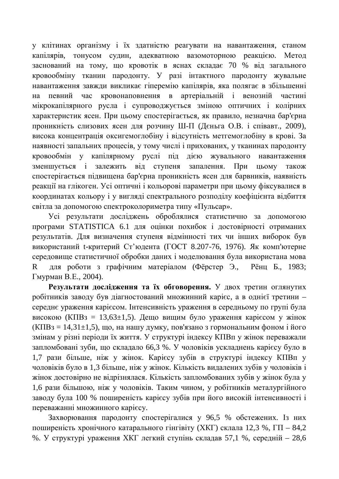у клітинах організму і їх здатністю реагувати на навантаження, станом капілярів, тонусом судин, адекватною вазомоторною реакцією. Метод заснований на тому, що кровотік в яснах складає 70 % від загального кровообміну тканин пародонту. У разі інтактного пародонту жувальне навантаження завжди викликає гіперемію капілярів, яка полягає в збільшенні на певний час кровонаповнення в артеріальній і венозній частині мікрокапілярного русла і супроводжується зміною оптичних і колірних характеристик ясен. При цьому спостерігається, як правило, незначна бар'єрна проникність слизових ясен для розчину Ш-П (Дєньга О.В. і співавт., 2009), висока концентрація оксигемоглобіну і відсутність метгемоглобіну в крові. За наявності запальних процесів, у тому числі і прихованих, у тканинах пародонту кровообмін у капілярному руслі під дією жувального навантаження зменшується і залежить від ступеня запалення. При цьому також спостерігається підвищена бар'єрна проникність ясен для барвників, наявність реакції на глікоген. Усі оптичні і кольорові параметри при цьому фіксувалися в координатах кольору і у вигляді спектрального розподілу коефіцієнта відбиття світла за допомогою спектроколориметра типу «Пульсар».

Усі результати досліджень оброблялися статистично за допомогою програми STATISTICA 6.1 для оцінки похибок і достовірності отриманих результатів. Для визначення ступеня відмінності тих чи інших виборок був використаний t-критерий Ст'юдента (ГОСТ 8.207-76, 1976). Як комп'ютерне середовище статистичної обробки даних і моделювання була використана мова R для роботи з графічним матеріалом (Фёрстер Э., Рёнц Б., 1983; Гмурман В.Е., 2004).

Результати дослідження та їх обговорення. У двох третин оглянутих робітників заводу був діагностований множинний карієс, а в однієї третини середнє ураження карієсом. Інтенсивність ураження в середньому по групі була високою (КПВ<sub>3</sub> = 13,63±1,5). Дещо вищим було ураження карієсом у жінок  $(K\Pi B3 = 14,31 \pm 1,5)$ , що, на нашу думку, пов'язано з гормональним фоном і його змінам у різні періоди їх життя. У структурі індексу КПВп у жінок переважали запломбовані зуби, що складало 66,3 %. У чоловіків ускладнень карієсу було в 1,7 рази більше, ніж у жінок. Карієсу зубів в структурі індексу КПВп у чоловіків було в 1,3 більше, ніж у жінок. Кількість видалених зубів у чоловіків і жінок достовірно не відрізнялася. Кількість запломбованих зубів у жінок була у 1,6 рази більшою, ніж у чоловіків. Таким чином, у робітників металургійного заводу була 100 % поширеність карієсу зубів при його високій інтенсивності і переважанні множинного карієсу.

Захворювання пародонту спостерігалися у 96,5 % обстежених. Із них поширеність хронічного катарального гінгівіту (ХКГ) склала 12,3 %, ГП - 84,2 %. У структурі ураження ХКГ легкий ступінь складав 57,1 %, середній - 28,6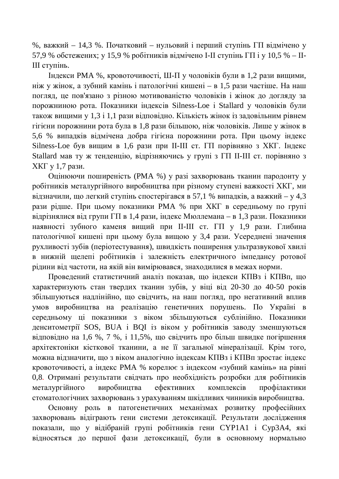%, важкий – 14,3 %. Початковий – нульовий і перший ступінь ГП відмічено у 57,9 % обстежених; у 15,9 % робітників відмічено I-II ступінь ГП і у 10,5 % – II-III ступінь.

Індекси РМА %, кровоточивості, Ш-П у чоловіків були в 1,2 рази вищими, ніж у жінок, а зубний камінь і патологічні кишені – в 1,5 рази частіше. На наш погляд, це пов'язано з різною мотивованістю чоловіків і жінок до догляду за порожниною рота. Показники індексів Silness-Loe і Stallard у чоловіків були також вишими у 1,3 і 1,1 рази відповідно. Кількість жінок із задовільним рівнем гігієни порожнини рота була в 1,8 рази більшою, ніж чоловіків. Лише у жінок в 5,6 % випадків відмічена добра гігієна порожнини рота. При цьому індекс Silness-Loe був вищим в 1,6 рази при II-III ст.  $\Gamma$ П порівняно з ХКГ. Індекс Stallard мав ту ж тенденцію, відрізняючись у групі з ГП II-III ст. порівняно з ХКГ у 1,7 рази.

Оцінюючи поширеність (РМА %) у разі захворювань тканин пародонту у робітників металургійного виробництва при різному ступені важкості ХКГ, ми відзначили, що легкий ступінь спостерігався в 57,1 % випадків, а важкий – у 4,3 рази рідше. При цьому показники РМА % при ХКГ в середньому по групі відрізнялися від групи ГП в 1,4 рази, індекс Мюллемана – в 1,3 рази. Показники наявності зубного каменя вищий при II-III ст. ГП у 1,9 рази. Глибина патологічної кишені при цьому була вищою у 3,4 рази. Усереднені значення рухливості зубів (періотестування), швидкість поширення ультразвукової хвилі в нижній щелепі робітників і залежність електричного імпедансу ротової рідини від частоти, на якій він вимірювався, знаходилися в межах норми.

Проведений статистичний аналіз показав, що індекси КПВз і КПВп, що характеризують стан твердих тканин зубів, у віці від 20-30 до 40-50 років збільшуються надлінійно, що свідчить, на наш погляд, про негативний вплив умов виробництва на реалізацію генетичних порушень. По Україні в середньому ці показники з віком збільшуються сублінійно. Показники денситометрії SOS, BUA і BQI із віком у робітників заводу зменшуються відповідно на 1,6 %, 7 %, і 11,5%, що свідчить про більш швидке погіршення архітектоніки кісткової тканини, а не її загальної мінералізації. Крім того, можна відзначити, що з віком аналогічно індексам КПВз і КПВп зростає індекс кровоточивості, а індекс РМА % корелює з індексом «зубний камінь» на рівні 0,8. Отримані результати свідчать про необхідність розробки для робітників металургійного виробництва ефективних комплексів профілактики стоматологічних захворювань з урахуванням шкідливих чинників виробництва.

Основну роль в патогенетичних механізмах розвитку професійних захворювань відіграють гени системи детоксикації. Результати дослідження показали, що у відібраній групі робітників гени СҮР1А1 і Сур3А4, які відносяться до першої фази детоксикації, були в основному нормально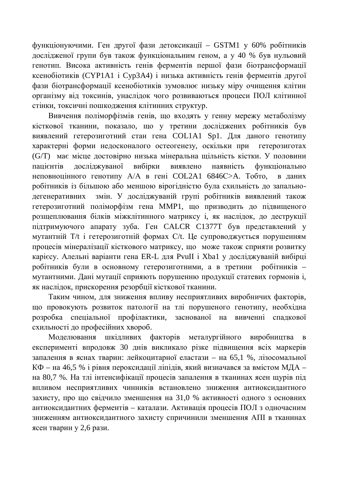функціонуючими. Ген другої фази детоксикації – GSTM1 у 60% робітників дослідженої групи був також функціональним геном, а у 40 % був нульовий генотип. Висока активність генів ферментів першої фази біотрансформації ксенобіотиків (СҮР1А1 і Сур3А4) і низька активність генів ферментів другої фази біотрансформації ксенобіотиків зумовлює низьку міру очищення клітин організму від токсинів, унаслідок чого розвиваються процеси ПОЛ клітинної стінки, токсичні пошкодження клітинних структур.

Вивчення поліморфізмів генів, що входять у генну мережу метаболізму кісткової тканини, показало, що у третини досліджених робітників був виявлений гетерозиготний стан гена COL1A1 Sp1. Для даного генотипу характерні форми недосконалого остеогенезу, оскільки при гетерозиготах (G/T) має місце достовірно низька мінеральна щільність кістки. У половини пацієнтів лослілжуваної вибірки виявлено наявність функціонально неповноцінного генотипу А/А в гені COL2A1 6846С>А. Тобто, в даних робітників із більшою або меншою вірогідністю була схильність до запальнодегенеративних змін. У досліджуваній групі робітників виявлений також гетерозиготний поліморфізм гена ММР1, що призводить до підвищеного розщеплювання білків міжклітинного матриксу і, як наслідок, до деструкції підтримуючого апарату зуба. Ген CALCR C1377T був представлений у мутантній Т/t і гетерозиготній формах С/t. Це супроводжується порушенням процесів мінералізації кісткового матриксу, що може також сприяти розвитку карієсу. Алельні варіанти гена ER-L для PvuII і Xba1 у досліджуваній вибірці робітників були в основному гетерозиготними, а в третини робітників – мутантними. Дані мутації сприяють порушенню продукції статевих гормонів і, як наслідок, прискорення резорбції кісткової тканини.

Таким чином, для зниження впливу несприятливих виробничих факторів, що провокують розвиток патології на тлі порушеного генотипу, необхідна розробка спеціальної профілактики, заснованої на вивченні спадкової схильності до професійних хвороб.

Моделювання шкідливих факторів металургійного виробництва в експерименті впродовж 30 днів викликало різке підвищення всіх маркерів запалення в яснах тварин: лейкоцитарної еластази – на 65,1 %, лізосомальної  $K\Phi$  – на 46,5 % і рівня пероксидації ліпідів, який визначався за вмістом МДА – на 80,7 %. На тлі інтенсифікації процесів запалення в тканинах ясен щурів під впливом несприятливих чинників встановлено зниження антиоксидантного захисту, про що свідчило зменшення на 31,0 % активності одного з основних антиоксидантних ферментів – каталази. Активація процесів ПОЛ з одночасним зниженням антиоксидантного захисту спричинили зменшення АПІ в тканинах ясен тварин у 2,6 рази.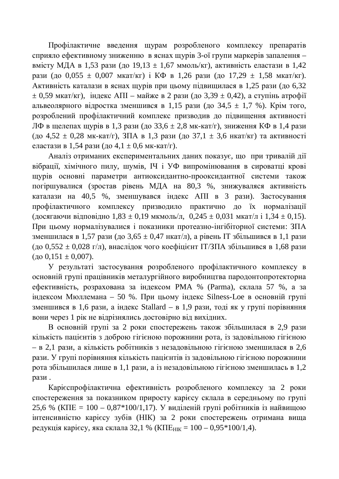Профілактичне введення щурам розробленого комплексу препаратів сприяло ефективному зниженню в яснах щурів 3-ої групи маркерів запалення – вмісту МДА в 1,53 рази (до 19,13  $\pm$  1,67 ммоль/кг), активність еластази в 1,42 рази (до 0,055  $\pm$  0,007 мкат/кг) і КФ в 1,26 рази (до 17,29  $\pm$  1,58 мкат/кг). Активність каталази в яснах щурів при цьому підвищилася в 1,25 рази (до 6,32  $\pm$  0,59 мкат/кг), індекс АПІ – майже в 2 рази (до 3,39  $\pm$  0,42), а ступінь атрофії альвеолярного відростка зменшився в 1,15 рази (до 34,5  $\pm$  1,7 %). Крім того, розроблений профілактичний комплекс призводив до пілвишення активності ЛФ в щелепах щурів в 1,3 рази (до 33,6  $\pm$  2,8 мк-кат/г), зниження КФ в 1,4 рази  $(104.52 \pm 0.28 \text{ MK-KAT/T})$ ,  $3\overline{1}A$  B 1,3 pass  $(104.37,1 \pm 3.6 \text{ KAT/KT})$  та активності еластази в 1,54 рази (до 4,1  $\pm$  0,6 мк-кат/г).

Аналіз отриманих експериментальних даних показує, що при тривалій дії вібрації, хімічного пилу, шумів, ІЧ і УФ випромінювання в сироватці крові щурів основні параметри антиоксидантно-прооксидантної системи також погіршувалися (зростав рівень МДА на 80,3 %, знижуваляся активність каталази на 40,5 %, зменшувався індекс АПІ в 3 рази). Застосування профілактичного комплексу призводило практично до їх нормалізації (досягаючи відповідно 1,83 ± 0,19 мкмоль/л, 0,245 ± 0,031 мкат/л і 1,34 ± 0,15). При цьому нормалізувалися і показники протеазно-інгібіторної системи: ЗПА зменшилася в 1,57 рази (до 3,65  $\pm$  0,47 нкат/л), а рівень IT збільшився в 1,1 рази (до 0,552  $\pm$  0,028 г/л), внаслідок чого коефіцієнт ІТ/ЗПА збільшився в 1,68 рази  $(100.151 \pm 0.007)$ .

У результаті застосування розробленого профілактичного комплексу в основній групі працівників металургійного виробництва пародонтопротекторна ефективність, розрахована за індексом РМА % (Parma), склала 57 %, а за індексом Мюллемана – 50 %. При цьому індекс Silness-Loe в основній групі зменшився в 1,6 рази, а індекс Stallard – в 1,9 рази, тоді як у групі порівняння вони через 1 рік не відрізнялись достовірно від вихідних.

В основній групі за 2 роки спостережень також збільшилася в 2,9 рази кількість пацієнтів з доброю гігієною порожнини рота, із задовільною гігієною – в 2,1 рази, а кількість робітників з незадовільною гігієною зменшилася в 2,6 рази. У групі порівняння кількість пацієнтів із задовільною гігієною порожнини рота збільшилася лише в 1,1 рази, а із незадовільною гігієною зменшилась в 1,2 рази.

Карієспрофілактична ефективність розробленого комплексу за 2 роки спостереження за показником приросту карієсу склала в середньому по групі 25,6 % (КПЕ =  $100 - 0.87*100/1.17$ ). У виділеній групі робітників із найвищою інтенсивністю карієсу зубів (НІК) за 2 роки спостережень отримана вища редукція карієсу, яка склала 32,1 % (КПЕ<sub>НІК</sub> = 100 – 0,95\*100/1,4).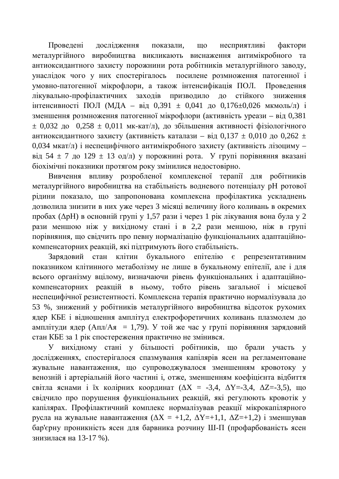Проведені дослідження показали, що несприятливі фактори металургійного виробництва викликають виснаження антимікробного та антиоксидантного захисту порожнини рота робітників металургійного заводу, унаслідок чого у них спостерігалось посилене розмноження патогенної і умовно-патогенної мікрофлори, а також інтенсифікація ПОЛ. Проведення лікувально-профілактичних заходів призводило до стійкого зниження інтенсивності ПОЛ (МДА – від 0,391  $\pm$  0,041 до 0,176 $\pm$ 0,026 мкмоль/л) і зменшення розмноження патогенної мікрофлори (активність уреази – від 0,381  $± 0,032$  до  $0,258 ± 0,011$  мк-кат/л), до збільшення активності фізіологічного антиоксидантного захисту (активність каталази – від 0,137  $\pm$  0,010 до 0,262  $\pm$ 0,034 мкат/л) i неспецифічного антимікробного захисту (активність лізоциму – від 54 ± 7 до 129 ± 13 од/л) у порожнині рота. У групі порівняння вказані біохімічні показники протягом року змінилися недостовірно.

Вивчення впливу розробленої комплексної терапії для робітників металургійного виробництва на стабільність водневого потенціалу рН ротової рідини показало, що запропонована комплексна профілактика ускладнень дозволила знизити в них уже через 3 місяці величину його коливань в окремих пробах ( $\Delta$ рH) в основній групі у 1,57 рази і через 1 рік лікування вона була у 2 рази меншою ніж у вихідному стані і в 2,2 рази меншою, ніж в групі порівняння, що свідчить про певну нормалізацію функціональних адаптаційнокомпенсаторних реакцій, які підтримують його стабільність.

Зарядовий стан клітин букального епітелію є репрезентативним показником клітинного метаболізму не лише в букальному епітелії, але і для всього організму вцілому, визначаючи рівень функціональних і адаптаційнокомпенсаторних реакцій в ньому, тобто рівень загальної і місцевої неспецифічної резистентності. Комплексна терапія практично нормалізувала до 53 %, знижений у робітників металургійного виробництва відсоток рухомих ядер КБЕ і відношення амплітуд електрофоретичних коливань плазмолем до амплітуди ядер (Апл/Ая = 1,79). У той же час у групі порівняння зарядовий стан КБЕ за 1 рік спостереження практично не змінився.

У вихідному стані у більшості робітників, що брали участь у дослідженнях, спостерігалося спазмування капілярів ясен на регламентоване жувальне навантаження, що супроводжувалося зменшенням кровотоку у венозній і артеріальній його частині і, отже, зменшенням коефіцієнта відбиття світла яснами і їх колірних координат ( $\Delta X = -3,4$ ,  $\Delta Y = -3,4$ ,  $\Delta Z = -3,5$ ), що свідчило про порушення функціональних реакцій, які регулюють кровотік у капілярах. Профілактичний комплекс нормалізував реакції мікрокапілярного русла на жувальне навантаження  $(\Delta X = +1, 2, \Delta Y = +1, 1, \Delta Z = +1, 2)$  і зменшував бар'єрну проникність ясен для барвника розчину Ш-П (профарбованість ясен знизилася на 13-17 %).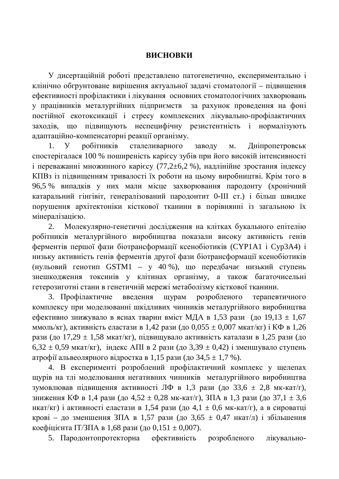#### **ВИСНОВКИ**

У дисертаційній роботі представлено патогенетично, експериментально і клінічно обгрунтоване вирішення актуальної задачі стоматології – підвищення ефективності профілактики і лікування основних стоматологічних захворювань у працівників металургійних підприємств за рахунок проведення на фоні постійної екотоксикації і стресу комплексних лікувально-профілактичних заходів, що підвищують неспецифічну резистентність і нормалізують адаптаційно-компенсаторні реакції організму.

1. У робітників сталеливарного заводу м. Дніпропетровськ спостерігалася 100 % поширеність карієсу зубів при його високій інтенсивності  $\overline{a}$  переважанні множинного карієсу (77,2 $\pm$ 6,2 %), надлінійне зростання індексу КПВз із підвищенням тривалості їх роботи на цьому виробництві. Крім того в 96,5 % випадків у них мали місце захворювання пародонту (хронічний катаральний гінгівіт, генералізований пародонтит 0-III ст.) і більш швидке порушення архітектоніки кісткової тканини в порівнянні із загальною їх мінералізацією.

2. Молекулярно-генетичні дослідження на клітках букального епітелію робітників металургійного виробництва показали високу активність генів ферментів першої фази біотрансформації ксенобіотиків (СҮР1А1 і Сур3А4) і низьку активність генів ферментів другої фази біотрансформації ксенобіотиків (нульовий генотип GSTM1 – у 40 %), що передбачає низький ступень знешкодження токсинів у клітинах організму, а також багаточисельні гетерозиготні стани в генетичній мережі метаболізму кісткової тканини.

3. Профілактичне введення щурам розробленого терапевтичного комплексу при моделюванні шкідливих чинників металургійного виробництва ефективно знижувало в яснах тварин вміст МДА в 1,53 рази (до 19,13  $\pm$  1,67 ммоль/кг), активність еластази в 1,42 рази (до 0,055  $\pm$  0,007 мкат/кг) і КФ в 1,26 рази (до 17,29  $\pm$  1,58 мкат/кг), підвищувало активність каталази в 1,25 рази (до 6,32  $\pm$  0,59 мкат/кг), індекс АПІ в 2 рази (до 3,39  $\pm$  0,42) і зменшувало ступень атрофії альвеолярного відростка в 1,15 рази (до 34,5  $\pm$  1,7 %).

4. В експерименті розроблений профілактичний комплекс у щелепах щурів на тлі моделювання негативних чинників металургійного виробництва зумовлював підвищення активності ЛФ в 1,3 рази (до 33,6  $\pm$  2,8 мк-кат/г), зниження КФ в 1,4 рази (до 4,52  $\pm$  0,28 мк-кат/г), ЗПА в 1,3 рази (до 37,1  $\pm$  3,6 нкат/кг) і активності еластази в 1,54 рази (до 4,1  $\pm$  0,6 мк-кат/г), а в сироватці крові – до зменшення ЗПА в 1,57 рази (до 3,65  $\pm$  0,47 нкат/л) і збільшення коефіцієнта ІТ/ЗПА в 1,68 рази (до 0,151  $\pm$  0,007).

5. Пародонтопротекторна ефективність розробленого лікувально-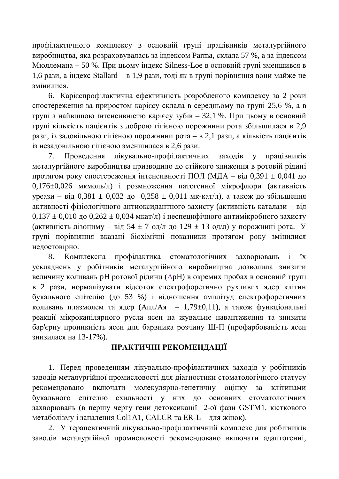профілактичного комплексу в основній групі працівників металургійного виробництва, яка розраховувалась за індексом Рагта, склала 57 %, а за індексом Мюллемана – 50 %. При цьому індекс Silness-Loe в основній групі зменшився в 1,6 рази, а індекс Stallard – в 1,9 рази, тоді як в групі порівняння вони майже не змінилися.

6. Карієспрофілактична ефективність розробленого комплексу за 2 роки спостереження за приростом карієсу склала в середньому по групі 25,6 %, а в групі з найвишою інтенсивністю карієсу зубів – 32,1 %. При цьому в основній групі кількість пацієнтів з доброю гігієною порожнини рота збільшилася в 2,9 рази, із задовільною гігієною порожнини рота – в 2,1 рази, а кількість пацієнтів із незадовільною гігієною зменшилася в 2,6 рази.

7. Проведення лікувально-профілактичних заходів у працівників металургійного виробництва призводило до стійкого зниження в ротовій рідині протягом року спостереження інтенсивності ПОЛ (МДА – від 0,391  $\pm$  0,041 до  $0,176\pm0,026$  мкмоль/л) і розмноження патогенної мікрофлори (активність уреази – від 0,381  $\pm$  0,032 до 0,258  $\pm$  0,011 мк-кат/л), а також до збільшення активності фізіологічного антиоксидантного захисту (активність каталази – від  $0.137 \pm 0.010$  до  $0.262 \pm 0.034$  мкат/л) і неспецифічного антимікробного захисту (активність лізоциму – від 54 ± 7 од/л до 129 ± 13 од/л) у порожнині рота. У групі порівняння вказані біохімічні показники протягом року змінилися недостовірно.

8. Комплексна профілактика стоматологічних захворювань і їх ускладнень у робітників металургійного виробництва дозволила знизити величину коливань pH ротової рідини ( $\Delta$ pH) в окремих пробах в основній групі в 2 рази, нормалізувати відсоток електрофоретично рухливих ядер клітин букального епітелію (до 53 %) і відношення амплітуд електрофоретичних коливань плазмолем та ядер (Апл/Ая = 1,79 $\pm$ 0,11), а також функціональні реакції мікрокапілярного русла ясен на жувальне навантаження та знизити бар'єрну проникність ясен для барвника розчину Ш-П (профарбованість ясен знизилася на 13-17%).

## ПРАКТИЧНІ РЕКОМЕНДАЦІЇ

1. Перед проведенням лікувально-профілактичних заходів у робітників заводів металургійної промисловості для діагностики стоматологічного статусу рекомендовано включати молекулярно-генетичну оцінку за клітинами букального епітелію схильності у них до основних стоматологічних захворювань (в першу чергу гени детоксикації 2-ої фази GSTM1, кісткового метаболізму і запалення Col1A1, CALCR та ER-L – для жінок).

2. У терапевтичний лікувально-профілактичний комплекс для робітників заводів металургійної промисловості рекомендовано включати адаптогенні,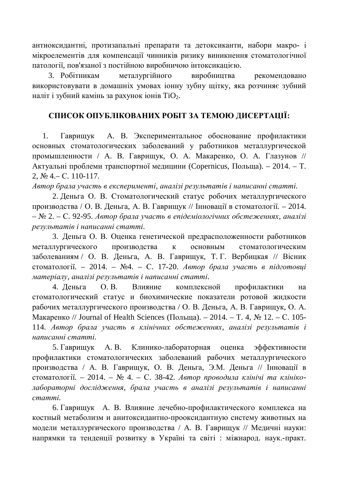антиоксидантні, протизапальні препарати та детоксиканти, набори макро- і мікроелементів для компенсації чинників ризику виникнення стоматологічної патології, пов'язаної з постійною виробничою інтоксикацією.

3. Робітникам металургійного виробництва рекомендовано використовувати в домашніх умовах іонну зубну щітку, яка розчиняє зубний наліт і зубний камінь за рахунок іонів ТіО<sub>2</sub>.

## СПИСОК ОПУБЛІКОВАНИХ РОБІТ ЗА ТЕМОЮ ДИСЕРТАЦІЇ:

1. Гаврищук А. В. Экспериментальное обоснование профилактики основных стоматологических заболеваний у работников металлургической промышленности / А. В. Гаврищук, О. А. Макаренко, О. А. Глазунов // Актуальні проблеми транспортної медицини (Copernicus, Польща). – 2014. – Т.  $2, \mathbb{N} \times 4 - C. 110 - 117.$ 

 $A$ втор брала участь в експерименті, аналізі результатів і написанні статті.

2. Деньга О. В. Стоматологический статус робочих металлургического производства / О. В. Деньга, А. В. Гаврищук // Інновації в стоматології. – 2014.  $-\mathbb{N}$ ം 2. – С. 92-95. *Автор брала участь в епідеміологічних обстеженнях*, *аналізі*  $pesy_{Jb}$ *mamiв і написанні статті.* 

3. Деньга О. В. Оценка генетической предрасположенности работников металлургического производства к основным стоматологическим заболеваниям / О. В. Деньга, А. В. Гаврищук, Т. Г. Вербицкая // Вісник стоматології. – 2014. – №4. – С. 17-20. Автор брала участь в підготови*і* матеріалу, аналізі результатів і написанні статті.

4. Деньга О. В. Влияние комплексной профилактики на стоматологический статус и биохимические показатели ротовой жидкости рабочих металлургического производства / О. В. Деньга, А. В. Гаврищук, О. А. Макаренко // Journal of Health Sciences (Польща). – 2014. – Т. 4, № 12. – С. 105-114. Автор брала участь в клінічних обстеженнях, аналізі результатів і *ɧɚɩɢɫɚɧɧɿɫɬɚɬɬɿ.*

5. Гаврищук А. В. Клинико-лабораторная оценка эффективности профилактики стоматологических заболеваний рабочих металлургического производства / А. В. Гаврищук, О. В. Деньга, Э.М. Деньга // Інновації в стоматології. – 2014. – № 4. – С. 38-42. Автор проводила клінічі та клініколабораторні дослідження, брала участь в аналізі результатів і написанні  $c$ *mammi*.

6. Гаврищук А. В. Влияние лечебно-профилактического комплекса на костный метаболизм и анитоксидантно-прооксидантную систему животных на модели металлургического производства / А. В. Гаврищук // Медичні науки: напрямки та тенденції розвитку в Україні та світі : міжнарод. наук.-практ.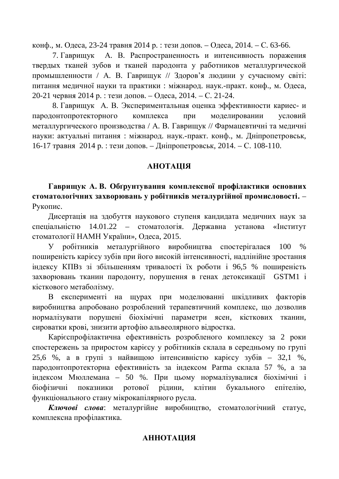конф., м. Одеса, 23-24 травня 2014 р. : тези допов. – Одеса, 2014. – С. 63-66.

7. Гаврищук А. В. Распространенность и интенсивность поражения твердых тканей зубов и тканей пародонта у работников металлургической промышленности / А. В. Гаврищук // Здоров'я людини у сучасному світі: питання медичної науки та практики: міжнарод. наук.-практ. конф., м. Одеса, 20-21 червня 2014 р. : тези допов. – Одеса, 2014. – С. 21-24.

8. Гаврищук А. В. Экспериментальная оценка эффективности кариес- и пародонтопротекторного комплекса при моделировании условий металлургического производства / А. В. Гаврищук // Фармацевтичні та медичні науки: актуальні питання: міжнарод. наук.-практ. конф., м. Дніпропетровськ, 16-17 травня 2014 р. : тези допов. – Дніпропетровськ, 2014. – С. 108-110.

#### *RIJIATOHA*

Гаврищук А. В. Обґрунтування комплексної профілактики основних стоматологічних захворювань у робітників металургійної промисловості. – Рукопис.

Дисертація на здобуття наукового ступеня кандидата медичних наук за спеціальністю 14.01.22 – стоматологія. Державна установа «Інститут стоматології НАМН України», Олеса, 2015.

У робітників металургійного виробництва спостерігалася 100 % поширеність карієсу зубів при його високій інтенсивності, надлінійне зростання індексу КПВз зі збільшенням тривалості їх роботи і 96,5 % поширеність захворювань тканин пародонту, порушення в генах детоксикації GSTM1 і кісткового метаболізму.

В експерименті на щурах при моделюванні шкідливих факторів виробництва апробовано розроблений терапевтичний комплекс, що дозволив нормалізувати порушені біохімічні параметри ясен, кісткових тканин, сироватки крові, знизити артофію альвеолярного відростка.

Карієспрофілактична ефективність розробленого комплексу за 2 роки спостережень за приростом карієсу у робітників склала в середньому по групі 25,6 %, а в групі з найвищою інтенсивністю карієсу зубів – 32,1 %, пародонтопротекторна ефективність за індексом Рагта склала 57 %, а за  $\overline{H}$ ндексом Мюллемана – 50 %. При цьому нормалізувалися біохімічні і біофізичні показники ротової рідини, клітин букального епітелію, функціонального стану мікрокапілярного русла.

Ключові слова: металургійне виробництво, стоматологічний статус, комплексна профілактика.

#### **АННОТАЦИЯ**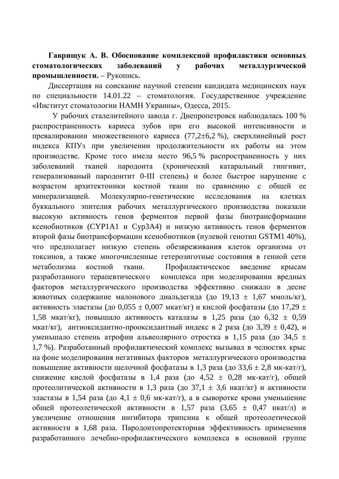Гаврищук А. В. Обоснование комплексной профилактики основных стоматологических заболеваний у рабочих металлургической промышленности. – Рукопись.

Диссертация на соискание научной степени кандидата медицинских наук по специальности 14.01.22 – стоматология. Государственное учреждение «Институт стоматологии НАМН Украины», Одесса, 2015.

У рабочих сталелитейного завода г. Днепропетровск наблюдалась 100 % распространенность кариеса зубов при его высокой интенсивности и превалировании множественного кариеса (77,2 $\pm$ 6,2 %), сверхлинейный рост индекса КПУз при увеличении продолжительности их работы на этом производстве. Кроме того имела место 96,5 % распространенность у них заболеваний тканей пародонта (хронический катаральный гингивит, генерализованый пародонтит 0-III степень) и более быстрое нарушение с возрастом архитектоники костной ткани по сравнению с общей ее минерализацией. Молекулярно-генетические исследования на клетках буккального эпителия рабочих металлургического производства показали высокую активность генов ферментов первой фазы биотрансформации ксенобиотиков (СҮР1А1 и Сур3А4) и низкую активность генов ферментов второй фазы биотрансформации ксенобиотиков (нулевой генотип GSTM1 40%), что предполагает низкую степень обезвреживания клеток организма от токсинов, а также многочисленные гетерозиготные состояния в генной сети метаболизма костной ткани. Профилактическое введение крысам разработанного терапевтического комплекса при моделировании вредных факторов металлургического производства эффективно снижало в десне животных содержание малонового диальдегида (до 19,13  $\pm$  1,67 ммоль/кг), активность эластазы (до 0,055  $\pm$  0,007 мкат/кг) и кислой фосфатазы (до 17,29  $\pm$ 1,58 мкат/кг), повышало активность каталазы в 1,25 раза (до 6,32  $\pm$  0,59 мкат/кг), антиоксидантно-прооксидантный индекс в 2 раза (до 3,39  $\pm$  0,42), и уменьшало степень атрофии альвеолярного отростка в 1,15 раза (до 34,5  $\pm$ 1,7 %). Разработанный профилактический комплекс вызывал в челюстях крыс на фоне моделирования негативных факторов металлургического производства повышение активности щелочной фосфатазы в 1,3 раза (до 33,6  $\pm$  2,8 мк-кат/г), снижение кислой фосфатазы в 1,4 раза (до 4,52  $\pm$  0,28 мк-кат/г), общей протеолитической активности в 1,3 раза (до 37,1  $\pm$  3,6 нкат/кг) и активности эластазы в 1,54 раза (до 4,1  $\pm$  0,6 мк-кат/г), а в сыворотке крови уменьшение общей протеолетической активности в 1,57 раза (3,65  $\pm$  0,47 нкат/л) и увеличение отношения ингибитора трипсина к общей протеолетической активности в 1,68 раза. Пародонтопротекторная эффективность применения разработанного лечебно-профилактического комплекса в основной группе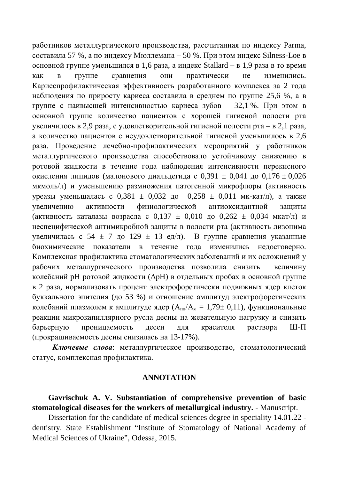работников металлургического производства, рассчитанная по индексу Parma, составила 57 %, а по индексу Мюллемана – 50 %. При этом индекс Silness-Loe в основной группе уменьшился в 1,6 раза, а индекс Stallard – в 1,9 раза в то время как в группе сравнения они практически не изменились. Кариеспрофилактическая эффективность разработанного комплекса за 2 года наблюдения по приросту кариеса составила в среднем по группе 25,6 %, а в группе с наивысшей интенсивностью кариеса зубов – 32,1 %. При этом в основной группе количество пациентов с хорошей гигиеной полости рта увеличилось в 2,9 раза, с удовлетворительной гигиеной полости рта – в 2,1 раза, а количество пациентов с неудовлетворительной гигиеной уменьшилось в 2,6 раза. Проведение лечебно-профилактических мероприятий у работников металлургического производства способствовало устойчивому снижению в ротовой жидкости в течение года наблюдения интенсивности перекисного окисления липидов (малонового диальдегида с 0,391  $\pm$  0,041 до 0,176  $\pm$  0,026 мкмоль/л) и уменьшению размножения патогенной микрофлоры (активность vреазы уменьшалась с 0,381  $\pm$  0,032 до 0,258  $\pm$  0,011 мк-кат/л), а также увеличению активности физиологической антиоксидантной защиты (активность каталазы возрасла с 0,137  $\pm$  0,010 до 0,262  $\pm$  0,034 мкат/л) и неспецифической антимикробной защиты в полости рта (активность лизоцима увеличилась с 54 ± 7 до 129 ± 13 ед/л). В группе сравнения указанные биохимические показатели в течение года изменились недостоверно. Комплексная профилактика стоматологических заболеваний и их осложнений у рабочих металлургического производства позволила снизить величину колебаний рН ротовой жидкости ( $\Delta$ рН) в отдельных пробах в основной группе в 2 раза, нормализовать процент электрофоретически подвижных ядер клеток буккального эпителия (до 53 %) и отношение амплитуд электрофоретических колебаний плазмолем к амплитуде ядер ( $A_{\text{m}}/A_{\text{s}} = 1,79 \pm 0,11$ ), функциональные реакции микрокапиллярного русла десны на жевательную нагрузку и снизить барьерную проницаемость десен для красителя раствора Ш-П (прокрашиваемость десны снизилась на 13-17%).

Ключевые слова: металлургическое производство, стоматологический статус, комплексная профилактика.

#### **ANNOTATION**

**Gavrischuk A. V. Substantiation of comprehensive prevention of basic stomatological diseases for the workers of metallurgical industry.** - Manuscript.

Dissertation for the candidate of medical sciences degree in speciality 14.01.22 dentistry. State Establishment "Institute of Stomatology of National Academy of Medical Sciences of Ukraine", Odessa, 2015.